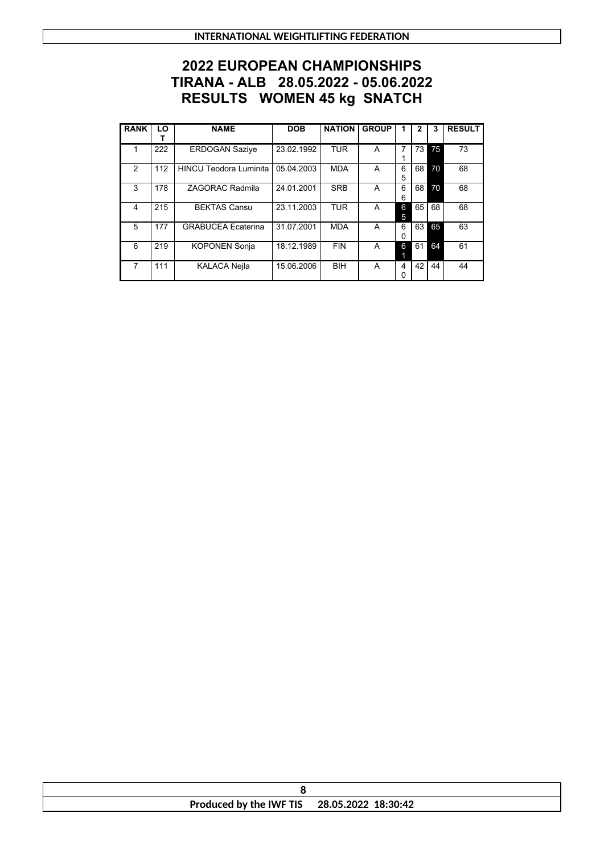## **2022 EUROPEAN CHAMPIONSHIPS TIRANA - ALB 28.05.2022 - 05.06.2022 RESULTS WOMEN 45 kg SNATCH**

| <b>RANK</b>    | LO  | <b>NAME</b>                   | <b>DOB</b> | <b>NATION</b> | <b>GROUP</b> | 1      | 2  | 3  | <b>RESULT</b> |
|----------------|-----|-------------------------------|------------|---------------|--------------|--------|----|----|---------------|
|                | 222 | <b>ERDOGAN Sazive</b>         | 23.02.1992 | <b>TUR</b>    | A            | 7      | 73 | 75 | 73            |
| $\mathfrak{p}$ | 112 | <b>HINCU Teodora Luminita</b> | 05.04.2003 | <b>MDA</b>    | A            | 6<br>5 | 68 | 70 | 68            |
| 3              | 178 | ZAGORAC Radmila               | 24.01.2001 | <b>SRB</b>    | A            | 6<br>6 | 68 | 70 | 68            |
| $\overline{4}$ | 215 | <b>BEKTAS Cansu</b>           | 23.11.2003 | <b>TUR</b>    | A            | 6<br>5 | 65 | 68 | 68            |
| 5              | 177 | <b>GRABUCEA Ecaterina</b>     | 31.07.2001 | <b>MDA</b>    | A            | 6<br>0 | 63 | 65 | 63            |
| 6              | 219 | <b>KOPONEN Sonja</b>          | 18.12.1989 | <b>FIN</b>    | A            | 6      | 61 | 64 | 61            |
| 7              | 111 | <b>KALACA Nejla</b>           | 15.06.2006 | <b>BIH</b>    | А            | 4<br>0 | 42 | 44 | 44            |

| Produced by the IWF TIS | 28.05.2022 18:30:42 |
|-------------------------|---------------------|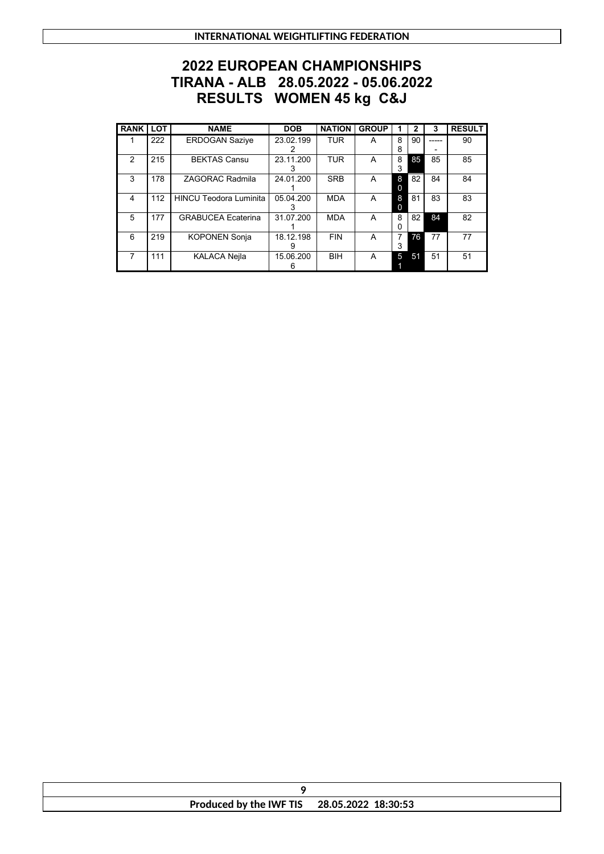**INTERNATIONAL WEIGHTLIFTING FEDERATION**

## **2022 EUROPEAN CHAMPIONSHIPS TIRANA - ALB 28.05.2022 - 05.06.2022 RESULTS WOMEN 45 kg C&J**

| <b>RANK</b> | <b>LOT</b> | <b>NAME</b>                   | <b>DOB</b> | <b>NATION</b> | <b>GROUP</b> |   | 2  | 3  | <b>RESULT</b> |
|-------------|------------|-------------------------------|------------|---------------|--------------|---|----|----|---------------|
|             | 222        | <b>ERDOGAN Sazive</b>         | 23.02.199  | <b>TUR</b>    | A            | 8 | 90 |    | 90            |
|             |            |                               |            |               |              | 8 |    |    |               |
| 2           | 215        | <b>BEKTAS Cansu</b>           | 23.11.200  | <b>TUR</b>    | A            | 8 | 85 | 85 | 85            |
|             |            |                               |            |               |              | 3 |    |    |               |
| 3           | 178        | <b>ZAGORAC Radmila</b>        | 24.01.200  | <b>SRB</b>    | A            | 8 | 82 | 84 | 84            |
|             |            |                               |            |               |              | 0 |    |    |               |
| 4           | 112        | <b>HINCU Teodora Luminita</b> | 05.04.200  | <b>MDA</b>    | A            | 8 | 81 | 83 | 83            |
|             |            |                               |            |               |              | 0 |    |    |               |
| 5           | 177        | <b>GRABUCEA Ecaterina</b>     | 31.07.200  | <b>MDA</b>    | A            | 8 | 82 | 84 | 82            |
|             |            |                               |            |               |              | 0 |    |    |               |
| 6           | 219        | <b>KOPONEN Sonja</b>          | 18.12.198  | <b>FIN</b>    | A            | 7 | 76 | 77 | 77            |
|             |            |                               | 9          |               |              | 3 |    |    |               |
|             | 111        | <b>KALACA Nejla</b>           | 15.06.200  | <b>BIH</b>    | A            | 5 | 51 | 51 | 51            |
|             |            |                               | 6          |               |              |   |    |    |               |

| Produced by the IWF TIS 28.05.2022 18:30:53 |  |
|---------------------------------------------|--|